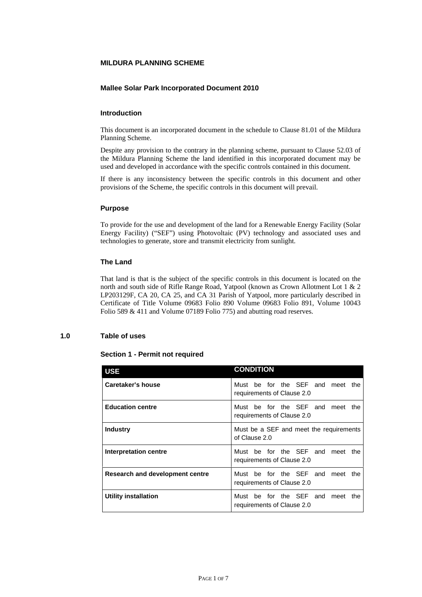# **0 MILDURA PLANNING SCHEME**

## **Mallee Solar Park Incorporated Document 2010**

## **Introduction**

This document is an incorporated document in the schedule to Clause 81.01 of the Mildura Planning Scheme.

Despite any provision to the contrary in the planning scheme, pursuant to Clause 52.03 of the Mildura Planning Scheme the land identified in this incorporated document may be used and developed in accordance with the specific controls contained in this document.

If there is any inconsistency between the specific controls in this document and other provisions of the Scheme, the specific controls in this document will prevail.

### **Purpose**

To provide for the use and development of the land for a Renewable Energy Facility (Solar Energy Facility) ("SEF") using Photovoltaic (PV) technology and associated uses and technologies to generate, store and transmit electricity from sunlight.

# **The Land**

That land is that is the subject of the specific controls in this document is located on the north and south side of Rifle Range Road, Yatpool (known as Crown Allotment Lot 1 & 2 LP203129F, CA 20, CA 25, and CA 31 Parish of Yatpool, more particularly described in Certificate of Title Volume 09683 Folio 890 Volume 09683 Folio 891, Volume 10043 Folio 589 & 411 and Volume 07189 Folio 775) and abutting road reserves.

## **1.0 Table of uses**

## **Section 1 - Permit not required**

| <b>USE</b>                      | <b>CONDITION</b>                                                     |
|---------------------------------|----------------------------------------------------------------------|
| Caretaker's house               | Must be for the SEF and meet the<br>requirements of Clause 2.0       |
| <b>Education centre</b>         | Must be for the SEF and meet the<br>requirements of Clause 2.0       |
| <b>Industry</b>                 | Must be a SEF and meet the requirements<br>of Clause 2.0             |
| Interpretation centre           | Must be for the SEF and<br>meet the<br>requirements of Clause 2.0    |
| Research and development centre | Must be for the SEF and meet the<br>requirements of Clause 2.0       |
| <b>Utility installation</b>     | Must be for the SEF and<br>meet<br>the<br>requirements of Clause 2.0 |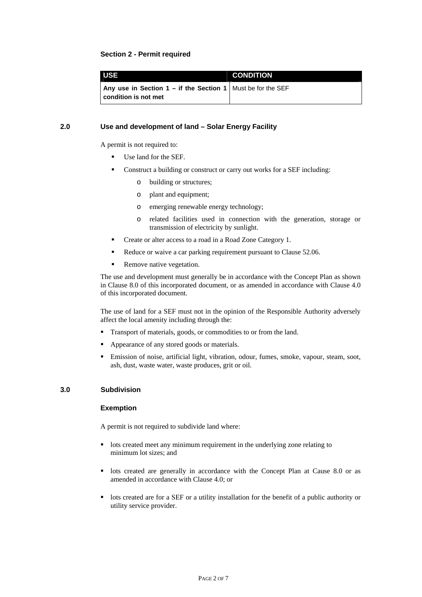## **Section 2 - Permit required**

| <b>USE</b>                                                                            | <b>CONDITION</b> |
|---------------------------------------------------------------------------------------|------------------|
| Any use in Section 1 – if the Section 1   Must be for the SEF<br>condition is not met |                  |

# **2.0 Use and development of land – Solar Energy Facility**

A permit is not required to:

- Use land for the SEF.
- Construct a building or construct or carry out works for a SEF including:
	- o building or structures;
	- o plant and equipment;
	- o emerging renewable energy technology;
	- o related facilities used in connection with the generation, storage or transmission of electricity by sunlight.
- Create or alter access to a road in a Road Zone Category 1.
- Reduce or waive a car parking requirement pursuant to Clause 52.06.
- Remove native vegetation.

The use and development must generally be in accordance with the Concept Plan as shown in Clause 8.0 of this incorporated document, or as amended in accordance with Clause 4.0 of this incorporated document.

The use of land for a SEF must not in the opinion of the Responsible Authority adversely affect the local amenity including through the:

- **Transport of materials, goods, or commodities to or from the land.**
- Appearance of any stored goods or materials.
- Emission of noise, artificial light, vibration, odour, fumes, smoke, vapour, steam, soot, ash, dust, waste water, waste produces, grit or oil.

## **3.0 Subdivision**

#### **Exemption**

A permit is not required to subdivide land where:

- lots created meet any minimum requirement in the underlying zone relating to minimum lot sizes; and
- lots created are generally in accordance with the Concept Plan at Cause 8.0 or as amended in accordance with Clause 4.0; or
- lots created are for a SEF or a utility installation for the benefit of a public authority or utility service provider.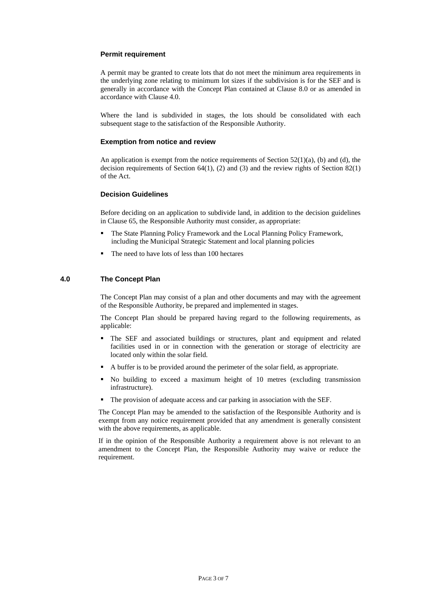## **Permit requirement**

A permit may be granted to create lots that do not meet the minimum area requirements in the underlying zone relating to minimum lot sizes if the subdivision is for the SEF and is generally in accordance with the Concept Plan contained at Clause 8.0 or as amended in accordance with Clause 4.0.

Where the land is subdivided in stages, the lots should be consolidated with each subsequent stage to the satisfaction of the Responsible Authority.

### **Exemption from notice and review**

An application is exempt from the notice requirements of Section  $52(1)(a)$ , (b) and (d), the decision requirements of Section 64(1), (2) and (3) and the review rights of Section  $82(1)$ of the Act.

### **Decision Guidelines**

Before deciding on an application to subdivide land, in addition to the decision guidelines in Clause 65, the Responsible Authority must consider, as appropriate:

- The State Planning Policy Framework and the Local Planning Policy Framework, including the Municipal Strategic Statement and local planning policies
- The need to have lots of less than 100 hectares

### **4.0 The Concept Plan**

The Concept Plan may consist of a plan and other documents and may with the agreement of the Responsible Authority, be prepared and implemented in stages.

The Concept Plan should be prepared having regard to the following requirements, as applicable:

- The SEF and associated buildings or structures, plant and equipment and related facilities used in or in connection with the generation or storage of electricity are located only within the solar field.
- A buffer is to be provided around the perimeter of the solar field, as appropriate.
- No building to exceed a maximum height of 10 metres (excluding transmission infrastructure).
- The provision of adequate access and car parking in association with the SEF.

The Concept Plan may be amended to the satisfaction of the Responsible Authority and is exempt from any notice requirement provided that any amendment is generally consistent with the above requirements, as applicable.

If in the opinion of the Responsible Authority a requirement above is not relevant to an amendment to the Concept Plan, the Responsible Authority may waive or reduce the requirement.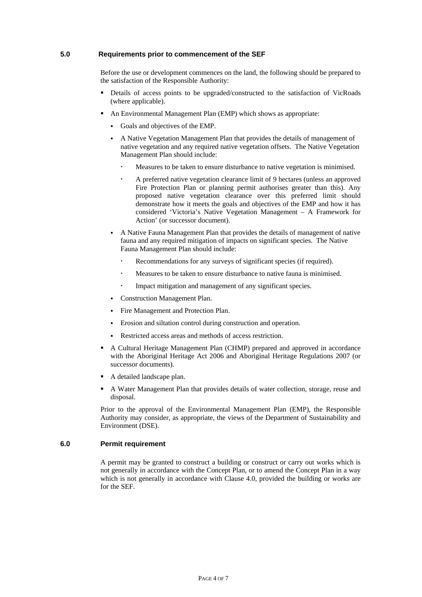## **5.0 Requirements prior to commencement of the SEF**

Before the use or development commences on the land, the following should be prepared to the satisfaction of the Responsible Authority:

- Details of access points to be upgraded/constructed to the satisfaction of VicRoads (where applicable).
- An Environmental Management Plan (EMP) which shows as appropriate:
	- Goals and objectives of the EMP.
	- A Native Vegetation Management Plan that provides the details of management of native vegetation and any required native vegetation offsets. The Native Vegetation Management Plan should include:
		- Measures to be taken to ensure disturbance to native vegetation is minimised.
		- A preferred native vegetation clearance limit of 9 hectares (unless an approved Fire Protection Plan or planning permit authorises greater than this). Any proposed native vegetation clearance over this preferred limit should demonstrate how it meets the goals and objectives of the EMP and how it has considered 'Victoria's Native Vegetation Management – A Framework for Action' (or successor document).
	- A Native Fauna Management Plan that provides the details of management of native fauna and any required mitigation of impacts on significant species. The Native Fauna Management Plan should include:
		- Recommendations for any surveys of significant species (if required).
		- Measures to be taken to ensure disturbance to native fauna is minimised.
		- Impact mitigation and management of any significant species.
	- Construction Management Plan.
	- Fire Management and Protection Plan.
	- Erosion and siltation control during construction and operation.
	- Restricted access areas and methods of access restriction.
- A Cultural Heritage Management Plan (CHMP) prepared and approved in accordance with the Aboriginal Heritage Act 2006 and Aboriginal Heritage Regulations 2007 (or successor documents).
- A detailed landscape plan.
- A Water Management Plan that provides details of water collection, storage, reuse and disposal.

Prior to the approval of the Environmental Management Plan (EMP), the Responsible Authority may consider, as appropriate, the views of the Department of Sustainability and Environment (DSE).

#### **6.0 Permit requirement**

A permit may be granted to construct a building or construct or carry out works which is not generally in accordance with the Concept Plan, or to amend the Concept Plan in a way which is not generally in accordance with Clause 4.0, provided the building or works are for the SEF.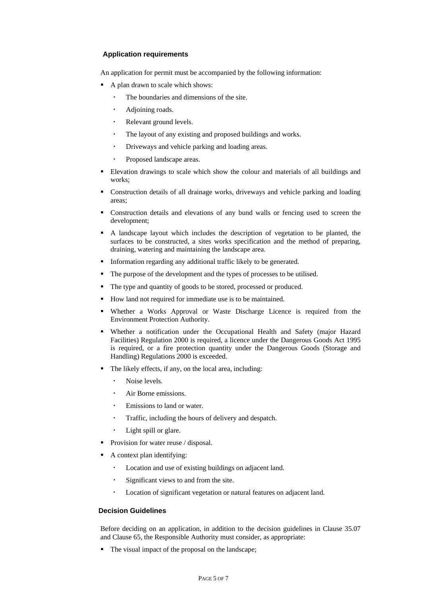# **Application requirements**

An application for permit must be accompanied by the following information:

- A plan drawn to scale which shows:
	- The boundaries and dimensions of the site.
	- Adjoining roads.
	- Relevant ground levels.
	- The layout of any existing and proposed buildings and works.
	- Driveways and vehicle parking and loading areas.
	- Proposed landscape areas.
- Elevation drawings to scale which show the colour and materials of all buildings and works;
- Construction details of all drainage works, driveways and vehicle parking and loading areas;
- Construction details and elevations of any bund walls or fencing used to screen the development;
- A landscape layout which includes the description of vegetation to be planted, the surfaces to be constructed, a sites works specification and the method of preparing, draining, watering and maintaining the landscape area.
- Information regarding any additional traffic likely to be generated.
- The purpose of the development and the types of processes to be utilised.
- The type and quantity of goods to be stored, processed or produced.
- How land not required for immediate use is to be maintained.
- Whether a Works Approval or Waste Discharge Licence is required from the Environment Protection Authority.
- Whether a notification under the Occupational Health and Safety (major Hazard Facilities) Regulation 2000 is required, a licence under the Dangerous Goods Act 1995 is required, or a fire protection quantity under the Dangerous Goods (Storage and Handling) Regulations 2000 is exceeded.
- The likely effects, if any, on the local area, including:
	- Noise levels.
	- Air Borne emissions.
	- Emissions to land or water.
	- Traffic, including the hours of delivery and despatch.
	- Light spill or glare.
- Provision for water reuse / disposal.
- A context plan identifying:
	- Location and use of existing buildings on adjacent land.
	- Significant views to and from the site.
	- Location of significant vegetation or natural features on adjacent land.

# **Decision Guidelines**

Before deciding on an application, in addition to the decision guidelines in Clause 35.07 and Clause 65, the Responsible Authority must consider, as appropriate:

The visual impact of the proposal on the landscape;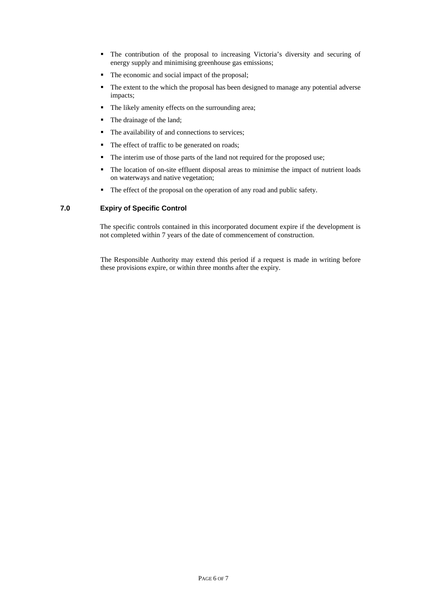- The contribution of the proposal to increasing Victoria's diversity and securing of energy supply and minimising greenhouse gas emissions;
- The economic and social impact of the proposal;
- The extent to the which the proposal has been designed to manage any potential adverse impacts;
- The likely amenity effects on the surrounding area;
- The drainage of the land;
- The availability of and connections to services;
- The effect of traffic to be generated on roads;
- The interim use of those parts of the land not required for the proposed use;
- The location of on-site effluent disposal areas to minimise the impact of nutrient loads on waterways and native vegetation;
- The effect of the proposal on the operation of any road and public safety.

# **7.0 Expiry of Specific Control**

The specific controls contained in this incorporated document expire if the development is not completed within 7 years of the date of commencement of construction.

 The Responsible Authority may extend this period if a request is made in writing before these provisions expire, or within three months after the expiry.